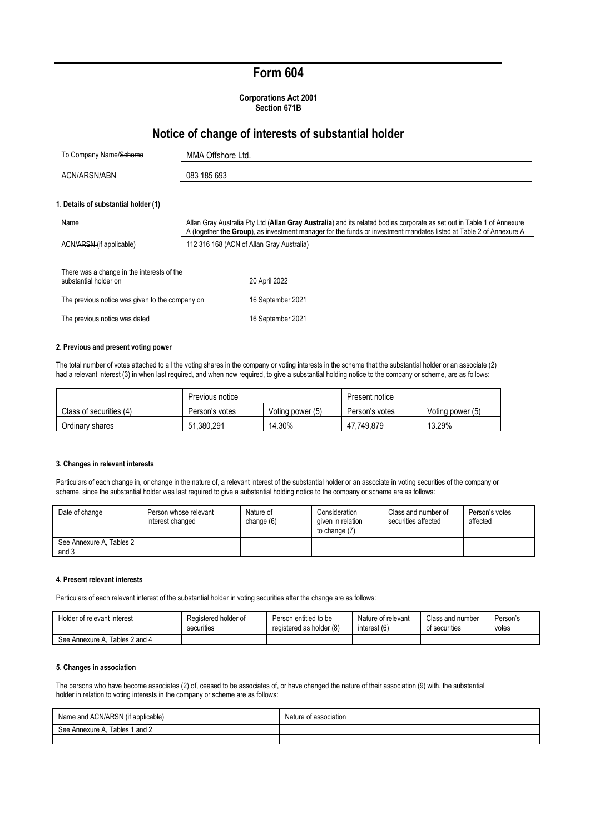## **Form 604**

**Corporations Act 2001 Section 671B**

## **Notice of change of interests of substantial holder**

| To Company Name/Scheme                                              | MMA Offshore Ltd.                                                                                                                                                                                                                            |  |  |
|---------------------------------------------------------------------|----------------------------------------------------------------------------------------------------------------------------------------------------------------------------------------------------------------------------------------------|--|--|
| ACN/ARSN/ABN                                                        | 083 185 693                                                                                                                                                                                                                                  |  |  |
| 1. Details of substantial holder (1)                                |                                                                                                                                                                                                                                              |  |  |
| Name                                                                | Allan Gray Australia Pty Ltd (Allan Gray Australia) and its related bodies corporate as set out in Table 1 of Annexure<br>A (together the Group), as investment manager for the funds or investment mandates listed at Table 2 of Annexure A |  |  |
| ACN/ARSN (if applicable)                                            | 112 316 168 (ACN of Allan Gray Australia)                                                                                                                                                                                                    |  |  |
| There was a change in the interests of the<br>substantial holder on | 20 April 2022                                                                                                                                                                                                                                |  |  |
| The previous notice was given to the company on                     | 16 September 2021                                                                                                                                                                                                                            |  |  |
| The previous notice was dated                                       | 16 September 2021                                                                                                                                                                                                                            |  |  |

#### **2. Previous and present voting power**

The total number of votes attached to all the voting shares in the company or voting interests in the scheme that the substantial holder or an associate (2) had a relevant interest (3) in when last required, and when now required, to give a substantial holding notice to the company or scheme, are as follows:

|                         | Previous notice |                  | Present notice |                  |
|-------------------------|-----------------|------------------|----------------|------------------|
| Class of securities (4) | Person's votes  | Voting power (5) | Person's votes | Voting power (5) |
| Ordinary shares         | .380.291<br>51. | 14.30%           | 47.749.879     | 13.29%           |

#### **3. Changes in relevant interests**

Particulars of each change in, or change in the nature of, a relevant interest of the substantial holder or an associate in voting securities of the company or scheme, since the substantial holder was last required to give a substantial holding notice to the company or scheme are as follows:

| Date of change                    | Person whose relevant<br>interest changed | Nature of<br>change $(6)$ | Consideration<br>given in relation<br>to change (7) | Class and number of<br>securities affected | Person's votes<br>affected |
|-----------------------------------|-------------------------------------------|---------------------------|-----------------------------------------------------|--------------------------------------------|----------------------------|
| See Annexure A, Tables 2<br>and 3 |                                           |                           |                                                     |                                            |                            |

### **4. Present relevant interests**

Particulars of each relevant interest of the substantial holder in voting securities after the change are as follows:

| Holder of relevant interest      | Registered holder of | Person entitled to be    | Nature of relevant | Class and number | Person's |
|----------------------------------|----------------------|--------------------------|--------------------|------------------|----------|
|                                  | securities           | registered as holder (8) | interest (6)       | of securities    | votes    |
| Tables 2 and 4<br>See Annexure A |                      |                          |                    |                  |          |

#### **5. Changes in association**

The persons who have become associates (2) of, ceased to be associates of, or have changed the nature of their association (9) with, the substantial holder in relation to voting interests in the company or scheme are as follows:

| Name and ACN/ARSN (if applicable)    | Nature of association |
|--------------------------------------|-----------------------|
| and 2<br>fables 1<br>See Annexure A. |                       |
|                                      |                       |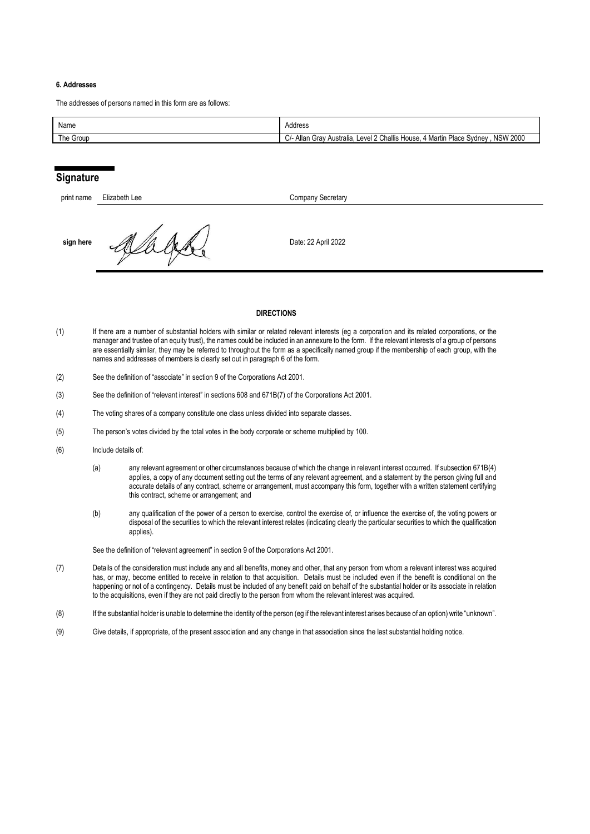## **6. Addresses**

The addresses of persons named in this form are as follows:

| Name      | Address                                                                                                             |
|-----------|---------------------------------------------------------------------------------------------------------------------|
| The Group | <b>NSW 2000</b><br>Level 2 Challis House.<br><sup>1</sup> Martin Place Svdnev<br>⊿- Allan Grav 1<br>Australia.<br>◡ |

## **Signature**

| print name | Elizabeth Lee | <b>Company Secretary</b> |
|------------|---------------|--------------------------|
| sign here  |               | Date: 22 April 2022      |

#### **DIRECTIONS**

- (1) If there are a number of substantial holders with similar or related relevant interests (eg a corporation and its related corporations, or the manager and trustee of an equity trust), the names could be included in an annexure to the form. If the relevant interests of a group of persons are essentially similar, they may be referred to throughout the form as a specifically named group if the membership of each group, with the names and addresses of members is clearly set out in paragraph 6 of the form.
- (2) See the definition of "associate" in section 9 of the Corporations Act 2001.
- (3) See the definition of "relevant interest" in sections 608 and 671B(7) of the Corporations Act 2001.
- (4) The voting shares of a company constitute one class unless divided into separate classes.
- (5) The person's votes divided by the total votes in the body corporate or scheme multiplied by 100.
- (6) Include details of:
	- (a) any relevant agreement or other circumstances because of which the change in relevant interest occurred. If subsection 671B(4) applies, a copy of any document setting out the terms of any relevant agreement, and a statement by the person giving full and accurate details of any contract, scheme or arrangement, must accompany this form, together with a written statement certifying this contract, scheme or arrangement; and
	- (b) any qualification of the power of a person to exercise, control the exercise of, or influence the exercise of, the voting powers or disposal of the securities to which the relevant interest relates (indicating clearly the particular securities to which the qualification applies).

See the definition of "relevant agreement" in section 9 of the Corporations Act 2001.

- (7) Details of the consideration must include any and all benefits, money and other, that any person from whom a relevant interest was acquired has, or may, become entitled to receive in relation to that acquisition. Details must be included even if the benefit is conditional on the happening or not of a contingency. Details must be included of any benefit paid on behalf of the substantial holder or its associate in relation to the acquisitions, even if they are not paid directly to the person from whom the relevant interest was acquired.
- (8) If the substantial holder is unable to determine the identity of the person (eg if the relevant interest arises because of an option) write "unknown".
- (9) Give details, if appropriate, of the present association and any change in that association since the last substantial holding notice.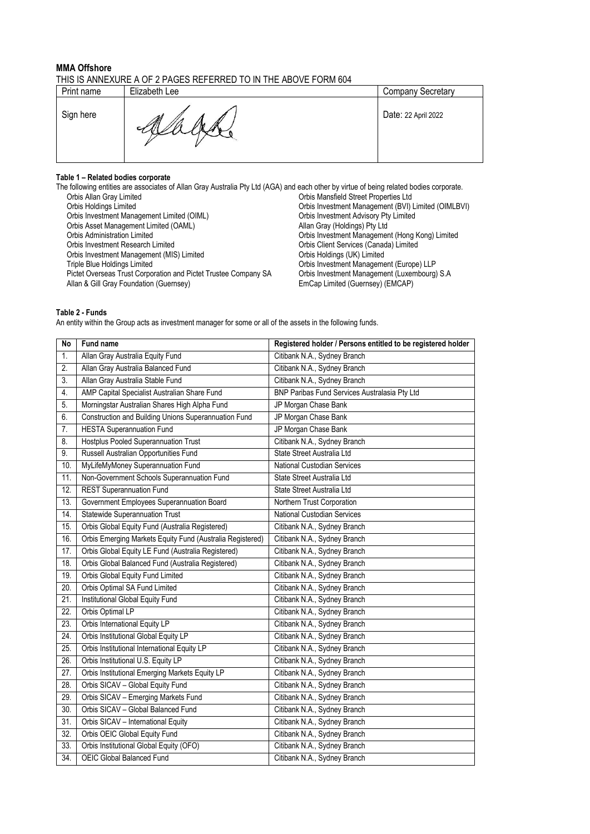### **MMA Offshore** THIS IS ANNEXURE A OF 2 PAGES REFERRED TO IN THE ABOVE FORM 604

|                                  | Print name | Elizabeth Lee | <b>Company Secretary</b> |
|----------------------------------|------------|---------------|--------------------------|
| Sign here<br>Date: 22 April 2022 |            |               |                          |

# **Table 1 – Related bodies corporate**

| The following entities are associates of Allan Gray Australia Pty Ltd (AGA) and each other by virtue of being related bodies corporate. |                                                     |
|-----------------------------------------------------------------------------------------------------------------------------------------|-----------------------------------------------------|
| Orbis Allan Gray Limited                                                                                                                | Orbis Mansfield Street Properties Ltd               |
| Orbis Holdings Limited                                                                                                                  | Orbis Investment Management (BVI) Limited (OIMLBVI) |
| Orbis Investment Management Limited (OIML)                                                                                              | Orbis Investment Advisory Pty Limited               |
| Orbis Asset Management Limited (OAML)                                                                                                   | Allan Gray (Holdings) Pty Ltd                       |
| <b>Orbis Administration Limited</b>                                                                                                     | Orbis Investment Management (Hong Kong) Limited     |
| Orbis Investment Research Limited                                                                                                       | Orbis Client Services (Canada) Limited              |
| Orbis Investment Management (MIS) Limited                                                                                               | Orbis Holdings (UK) Limited                         |
| Triple Blue Holdings Limited                                                                                                            | Orbis Investment Management (Europe) LLP            |
| Pictet Overseas Trust Corporation and Pictet Trustee Company SA                                                                         | Orbis Investment Management (Luxembourg) S.A.       |
| Allan & Gill Gray Foundation (Guernsey)                                                                                                 | EmCap Limited (Guernsey) (EMCAP)                    |
|                                                                                                                                         |                                                     |

## **Table 2 - Funds**

An entity within the Group acts as investment manager for some or all of the assets in the following funds.

| <b>No</b>         | Fund name                                                 | Registered holder / Persons entitled to be registered holder |
|-------------------|-----------------------------------------------------------|--------------------------------------------------------------|
| 1.                | Allan Gray Australia Equity Fund                          | Citibank N.A., Sydney Branch                                 |
| 2.                | Allan Gray Australia Balanced Fund                        | Citibank N.A., Sydney Branch                                 |
| $\overline{3}$ .  | Allan Gray Australia Stable Fund                          | Citibank N.A., Sydney Branch                                 |
| 4.                | AMP Capital Specialist Australian Share Fund              | BNP Paribas Fund Services Australasia Pty Ltd                |
| 5.                | Morningstar Australian Shares High Alpha Fund             | JP Morgan Chase Bank                                         |
| 6.                | Construction and Building Unions Superannuation Fund      | JP Morgan Chase Bank                                         |
| 7.                | <b>HESTA Superannuation Fund</b>                          | JP Morgan Chase Bank                                         |
| 8.                | Hostplus Pooled Superannuation Trust                      | Citibank N.A., Sydney Branch                                 |
| 9.                | Russell Australian Opportunities Fund                     | State Street Australia Ltd                                   |
| 10.               | MyLifeMyMoney Superannuation Fund                         | <b>National Custodian Services</b>                           |
| $\overline{11}$ . | Non-Government Schools Superannuation Fund                | State Street Australia Ltd                                   |
| 12.               | <b>REST Superannuation Fund</b>                           | State Street Australia Ltd                                   |
| 13.               | Government Employees Superannuation Board                 | Northern Trust Corporation                                   |
| 14.               | <b>Statewide Superannuation Trust</b>                     | National Custodian Services                                  |
| 15.               | Orbis Global Equity Fund (Australia Registered)           | Citibank N.A., Sydney Branch                                 |
| 16.               | Orbis Emerging Markets Equity Fund (Australia Registered) | Citibank N.A., Sydney Branch                                 |
| 17.               | Orbis Global Equity LE Fund (Australia Registered)        | Citibank N.A., Sydney Branch                                 |
| 18.               | Orbis Global Balanced Fund (Australia Registered)         | Citibank N.A., Sydney Branch                                 |
| 19.               | Orbis Global Equity Fund Limited                          | Citibank N.A., Sydney Branch                                 |
| 20.               | Orbis Optimal SA Fund Limited                             | Citibank N.A., Sydney Branch                                 |
| 21.               | Institutional Global Equity Fund                          | Citibank N.A., Sydney Branch                                 |
| $\overline{22}$ . | Orbis Optimal LP                                          | Citibank N.A., Sydney Branch                                 |
| 23.               | Orbis International Equity LP                             | Citibank N.A., Sydney Branch                                 |
| $\overline{24}$ . | Orbis Institutional Global Equity LP                      | Citibank N.A., Sydney Branch                                 |
| 25.               | Orbis Institutional International Equity LP               | Citibank N.A., Sydney Branch                                 |
| $\overline{26}$ . | Orbis Institutional U.S. Equity LP                        | Citibank N.A., Sydney Branch                                 |
| 27.               | Orbis Institutional Emerging Markets Equity LP            | Citibank N.A., Sydney Branch                                 |
| 28.               | Orbis SICAV - Global Equity Fund                          | Citibank N.A., Sydney Branch                                 |
| 29.               | Orbis SICAV - Emerging Markets Fund                       | Citibank N.A., Sydney Branch                                 |
| 30.               | Orbis SICAV - Global Balanced Fund                        | Citibank N.A., Sydney Branch                                 |
| 31.               | Orbis SICAV - International Equity                        | Citibank N.A., Sydney Branch                                 |
| 32.               | Orbis OEIC Global Equity Fund                             | Citibank N.A., Sydney Branch                                 |
| 33.               | Orbis Institutional Global Equity (OFO)                   | Citibank N.A., Sydney Branch                                 |
| 34.               | OEIC Global Balanced Fund                                 | Citibank N.A., Sydney Branch                                 |